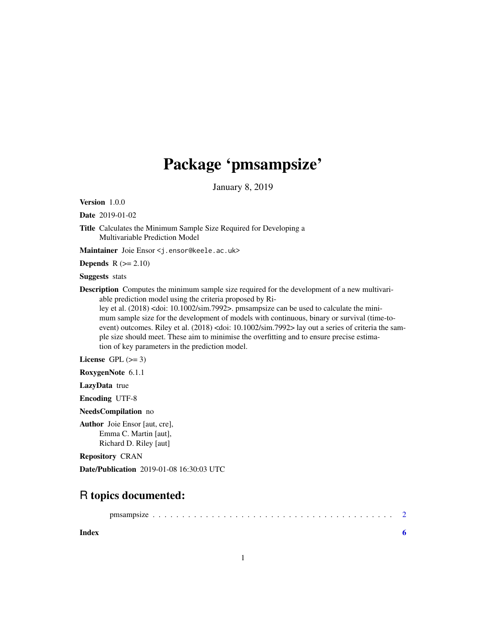# Package 'pmsampsize'

January 8, 2019

Version 1.0.0

Date 2019-01-02

Title Calculates the Minimum Sample Size Required for Developing a Multivariable Prediction Model

Maintainer Joie Ensor <j.ensor@keele.ac.uk>

**Depends**  $R$  ( $>= 2.10$ )

Suggests stats

Description Computes the minimum sample size required for the development of a new multivariable prediction model using the criteria proposed by Ri-

ley et al. (2018) <doi: 10.1002/sim.7992>. pmsampsize can be used to calculate the minimum sample size for the development of models with continuous, binary or survival (time-toevent) outcomes. Riley et al. (2018) <doi: 10.1002/sim.7992> lay out a series of criteria the sample size should meet. These aim to minimise the overfitting and to ensure precise estimation of key parameters in the prediction model.

License GPL  $(>= 3)$ 

RoxygenNote 6.1.1

LazyData true

Encoding UTF-8

NeedsCompilation no

Author Joie Ensor [aut, cre], Emma C. Martin [aut], Richard D. Riley [aut]

Repository CRAN

Date/Publication 2019-01-08 16:30:03 UTC

# R topics documented:

| Index |  |  |  |  |  |  |  |  |  |  |  |  |  |  |
|-------|--|--|--|--|--|--|--|--|--|--|--|--|--|--|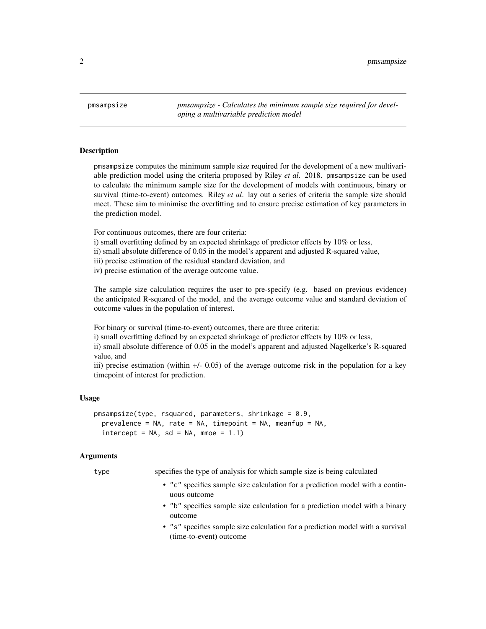<span id="page-1-0"></span>pmsampsize *pmsampsize - Calculates the minimum sample size required for developing a multivariable prediction model*

#### **Description**

pmsampsize computes the minimum sample size required for the development of a new multivariable prediction model using the criteria proposed by Riley *et al*. 2018. pmsampsize can be used to calculate the minimum sample size for the development of models with continuous, binary or survival (time-to-event) outcomes. Riley *et al*. lay out a series of criteria the sample size should meet. These aim to minimise the overfitting and to ensure precise estimation of key parameters in the prediction model.

For continuous outcomes, there are four criteria:

i) small overfitting defined by an expected shrinkage of predictor effects by 10% or less,

ii) small absolute difference of 0.05 in the model's apparent and adjusted R-squared value,

iii) precise estimation of the residual standard deviation, and

iv) precise estimation of the average outcome value.

The sample size calculation requires the user to pre-specify (e.g. based on previous evidence) the anticipated R-squared of the model, and the average outcome value and standard deviation of outcome values in the population of interest.

For binary or survival (time-to-event) outcomes, there are three criteria:

i) small overfitting defined by an expected shrinkage of predictor effects by 10% or less,

ii) small absolute difference of 0.05 in the model's apparent and adjusted Nagelkerke's R-squared value, and

iii) precise estimation (within +/- 0.05) of the average outcome risk in the population for a key timepoint of interest for prediction.

#### Usage

```
pmsampsize(type, rsquared, parameters, shrinkage = 0.9,
 prevalence = NA, rate = NA, timepoint = NA, meanfup = NA,
  intercept = NA, sd = NA, mmoe = 1.1)
```
#### Arguments

type specifies the type of analysis for which sample size is being calculated

- "c" specifies sample size calculation for a prediction model with a continuous outcome
- "b" specifies sample size calculation for a prediction model with a binary outcome
- "s" specifies sample size calculation for a prediction model with a survival (time-to-event) outcome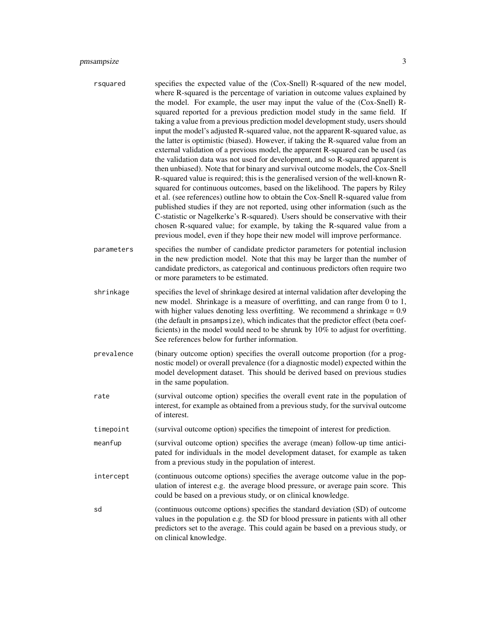## pmsampsize 3

| rsquared   | specifies the expected value of the (Cox-Snell) R-squared of the new model,<br>where R-squared is the percentage of variation in outcome values explained by<br>the model. For example, the user may input the value of the (Cox-Snell) R-<br>squared reported for a previous prediction model study in the same field. If<br>taking a value from a previous prediction model development study, users should<br>input the model's adjusted R-squared value, not the apparent R-squared value, as<br>the latter is optimistic (biased). However, if taking the R-squared value from an<br>external validation of a previous model, the apparent R-squared can be used (as<br>the validation data was not used for development, and so R-squared apparent is<br>then unbiased). Note that for binary and survival outcome models, the Cox-Snell<br>R-squared value is required; this is the generalised version of the well-known R-<br>squared for continuous outcomes, based on the likelihood. The papers by Riley<br>et al. (see references) outline how to obtain the Cox-Snell R-squared value from<br>published studies if they are not reported, using other information (such as the<br>C-statistic or Nagelkerke's R-squared). Users should be conservative with their<br>chosen R-squared value; for example, by taking the R-squared value from a<br>previous model, even if they hope their new model will improve performance. |
|------------|---------------------------------------------------------------------------------------------------------------------------------------------------------------------------------------------------------------------------------------------------------------------------------------------------------------------------------------------------------------------------------------------------------------------------------------------------------------------------------------------------------------------------------------------------------------------------------------------------------------------------------------------------------------------------------------------------------------------------------------------------------------------------------------------------------------------------------------------------------------------------------------------------------------------------------------------------------------------------------------------------------------------------------------------------------------------------------------------------------------------------------------------------------------------------------------------------------------------------------------------------------------------------------------------------------------------------------------------------------------------------------------------------------------------------------------------|
| parameters | specifies the number of candidate predictor parameters for potential inclusion<br>in the new prediction model. Note that this may be larger than the number of<br>candidate predictors, as categorical and continuous predictors often require two<br>or more parameters to be estimated.                                                                                                                                                                                                                                                                                                                                                                                                                                                                                                                                                                                                                                                                                                                                                                                                                                                                                                                                                                                                                                                                                                                                                   |
| shrinkage  | specifies the level of shrinkage desired at internal validation after developing the<br>new model. Shrinkage is a measure of overfitting, and can range from 0 to 1,<br>with higher values denoting less overfitting. We recommend a shrinkage $= 0.9$<br>(the default in pmsampsize), which indicates that the predictor effect (beta coef-<br>ficients) in the model would need to be shrunk by 10% to adjust for overfitting.<br>See references below for further information.                                                                                                                                                                                                                                                                                                                                                                                                                                                                                                                                                                                                                                                                                                                                                                                                                                                                                                                                                           |
| prevalence | (binary outcome option) specifies the overall outcome proportion (for a prog-<br>nostic model) or overall prevalence (for a diagnostic model) expected within the<br>model development dataset. This should be derived based on previous studies<br>in the same population.                                                                                                                                                                                                                                                                                                                                                                                                                                                                                                                                                                                                                                                                                                                                                                                                                                                                                                                                                                                                                                                                                                                                                                 |
| rate       | (survival outcome option) specifies the overall event rate in the population of<br>interest, for example as obtained from a previous study, for the survival outcome<br>of interest.                                                                                                                                                                                                                                                                                                                                                                                                                                                                                                                                                                                                                                                                                                                                                                                                                                                                                                                                                                                                                                                                                                                                                                                                                                                        |
| timepoint  | (survival outcome option) specifies the timepoint of interest for prediction.                                                                                                                                                                                                                                                                                                                                                                                                                                                                                                                                                                                                                                                                                                                                                                                                                                                                                                                                                                                                                                                                                                                                                                                                                                                                                                                                                               |
| meanfup    | (survival outcome option) specifies the average (mean) follow-up time antici-<br>pated for individuals in the model development dataset, for example as taken<br>from a previous study in the population of interest.                                                                                                                                                                                                                                                                                                                                                                                                                                                                                                                                                                                                                                                                                                                                                                                                                                                                                                                                                                                                                                                                                                                                                                                                                       |
| intercept  | (continuous outcome options) specifies the average outcome value in the pop-<br>ulation of interest e.g. the average blood pressure, or average pain score. This<br>could be based on a previous study, or on clinical knowledge.                                                                                                                                                                                                                                                                                                                                                                                                                                                                                                                                                                                                                                                                                                                                                                                                                                                                                                                                                                                                                                                                                                                                                                                                           |
| sd         | (continuous outcome options) specifies the standard deviation (SD) of outcome<br>values in the population e.g. the SD for blood pressure in patients with all other<br>predictors set to the average. This could again be based on a previous study, or<br>on clinical knowledge.                                                                                                                                                                                                                                                                                                                                                                                                                                                                                                                                                                                                                                                                                                                                                                                                                                                                                                                                                                                                                                                                                                                                                           |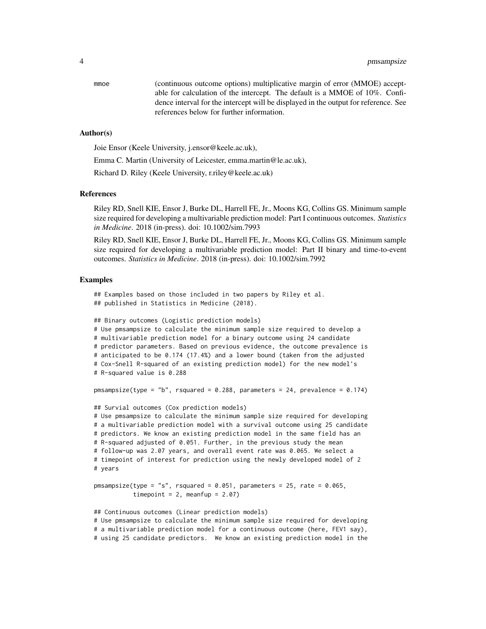mmoe (continuous outcome options) multiplicative margin of error (MMOE) acceptable for calculation of the intercept. The default is a MMOE of 10%. Confidence interval for the intercept will be displayed in the output for reference. See references below for further information.

#### Author(s)

Joie Ensor (Keele University, j.ensor@keele.ac.uk),

Emma C. Martin (University of Leicester, emma.martin@le.ac.uk),

Richard D. Riley (Keele University, r.riley@keele.ac.uk)

#### References

Riley RD, Snell KIE, Ensor J, Burke DL, Harrell FE, Jr., Moons KG, Collins GS. Minimum sample size required for developing a multivariable prediction model: Part I continuous outcomes. *Statistics in Medicine*. 2018 (in-press). doi: 10.1002/sim.7993

Riley RD, Snell KIE, Ensor J, Burke DL, Harrell FE, Jr., Moons KG, Collins GS. Minimum sample size required for developing a multivariable prediction model: Part II binary and time-to-event outcomes. *Statistics in Medicine*. 2018 (in-press). doi: 10.1002/sim.7992

#### Examples

## Examples based on those included in two papers by Riley et al. ## published in Statistics in Medicine (2018).

```
## Binary outcomes (Logistic prediction models)
# Use pmsampsize to calculate the minimum sample size required to develop a
# multivariable prediction model for a binary outcome using 24 candidate
# predictor parameters. Based on previous evidence, the outcome prevalence is
# anticipated to be 0.174 (17.4%) and a lower bound (taken from the adjusted
# Cox-Snell R-squared of an existing prediction model) for the new model's
# R-squared value is 0.288
pmsampsize(type = "b", rsquared = 0.288, parameters = 24, prevalence = 0.174)
## Survial outcomes (Cox prediction models)
# Use pmsampsize to calculate the minimum sample size required for developing
# a multivariable prediction model with a survival outcome using 25 candidate
# predictors. We know an existing prediction model in the same field has an
# R-squared adjusted of 0.051. Further, in the previous study the mean
```

```
# follow-up was 2.07 years, and overall event rate was 0.065. We select a
# timepoint of interest for prediction using the newly developed model of 2
# years
```

```
pmsampsize(type = "s", rsquared = 0.051, parameters = 25, rate = 0.065,
           timepoint = 2, meanfup = 2.07)
```
## Continuous outcomes (Linear prediction models) # Use pmsampsize to calculate the minimum sample size required for developing # a multivariable prediction model for a continuous outcome (here, FEV1 say), # using 25 candidate predictors. We know an existing prediction model in the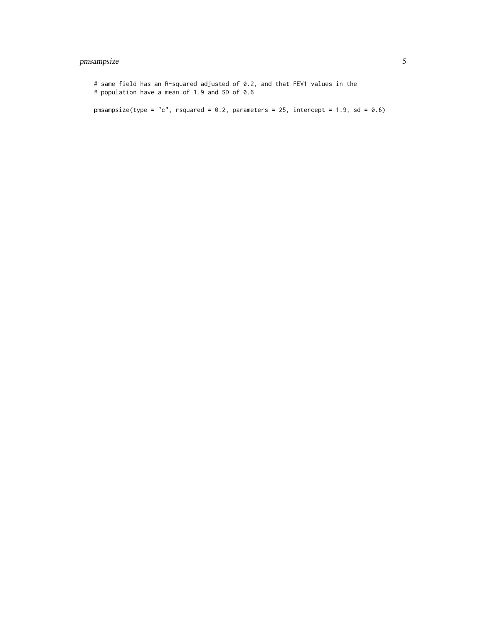### pmsampsize 5

# same field has an R-squared adjusted of 0.2, and that FEV1 values in the # population have a mean of 1.9 and SD of 0.6 pmsampsize(type = "c", rsquared =  $0.2$ , parameters = 25, intercept = 1.9, sd =  $0.6$ )